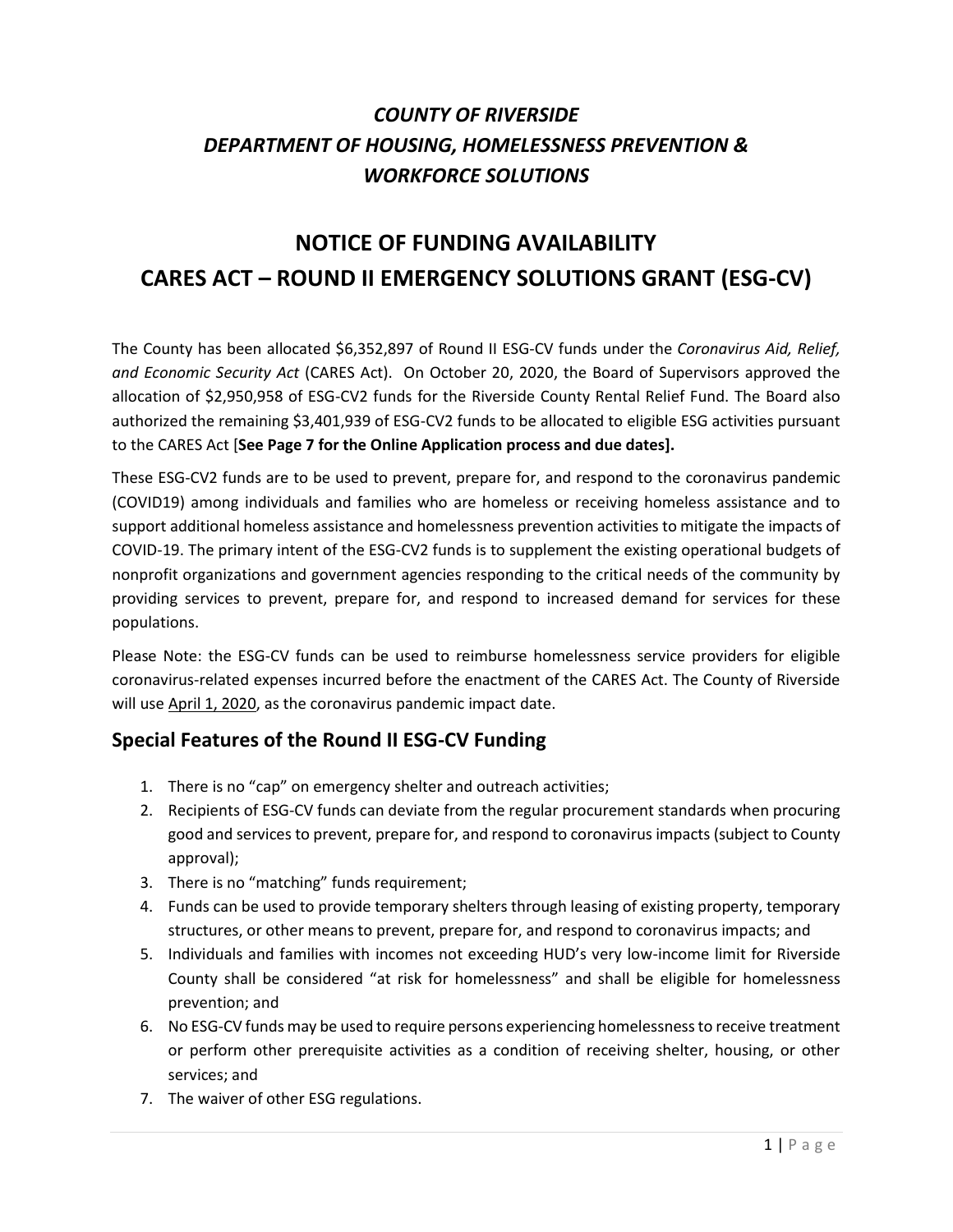# *COUNTY OF RIVERSIDE DEPARTMENT OF HOUSING, HOMELESSNESS PREVENTION & WORKFORCE SOLUTIONS*

# **NOTICE OF FUNDING AVAILABILITY CARES ACT – ROUND II EMERGENCY SOLUTIONS GRANT (ESG-CV)**

The County has been allocated \$6,352,897 of Round II ESG-CV funds under the *Coronavirus Aid, Relief, and Economic Security Act* (CARES Act). On October 20, 2020, the Board of Supervisors approved the allocation of \$2,950,958 of ESG-CV2 funds for the Riverside County Rental Relief Fund. The Board also authorized the remaining \$3,401,939 of ESG-CV2 funds to be allocated to eligible ESG activities pursuant to the CARES Act [**See Page 7 for the Online Application process and due dates].**

These ESG-CV2 funds are to be used to prevent, prepare for, and respond to the coronavirus pandemic (COVID19) among individuals and families who are homeless or receiving homeless assistance and to support additional homeless assistance and homelessness prevention activities to mitigate the impacts of COVID-19. The primary intent of the ESG-CV2 funds is to supplement the existing operational budgets of nonprofit organizations and government agencies responding to the critical needs of the community by providing services to prevent, prepare for, and respond to increased demand for services for these populations.

Please Note: the ESG-CV funds can be used to reimburse homelessness service providers for eligible coronavirus-related expenses incurred before the enactment of the CARES Act. The County of Riverside will use April 1, 2020, as the coronavirus pandemic impact date.

#### **Special Features of the Round II ESG-CV Funding**

- 1. There is no "cap" on emergency shelter and outreach activities;
- 2. Recipients of ESG-CV funds can deviate from the regular procurement standards when procuring good and services to prevent, prepare for, and respond to coronavirus impacts (subject to County approval);
- 3. There is no "matching" funds requirement;
- 4. Funds can be used to provide temporary shelters through leasing of existing property, temporary structures, or other means to prevent, prepare for, and respond to coronavirus impacts; and
- 5. Individuals and families with incomes not exceeding HUD's very low-income limit for Riverside County shall be considered "at risk for homelessness" and shall be eligible for homelessness prevention; and
- 6. No ESG-CV funds may be used to require persons experiencing homelessness to receive treatment or perform other prerequisite activities as a condition of receiving shelter, housing, or other services; and
- 7. The waiver of other ESG regulations.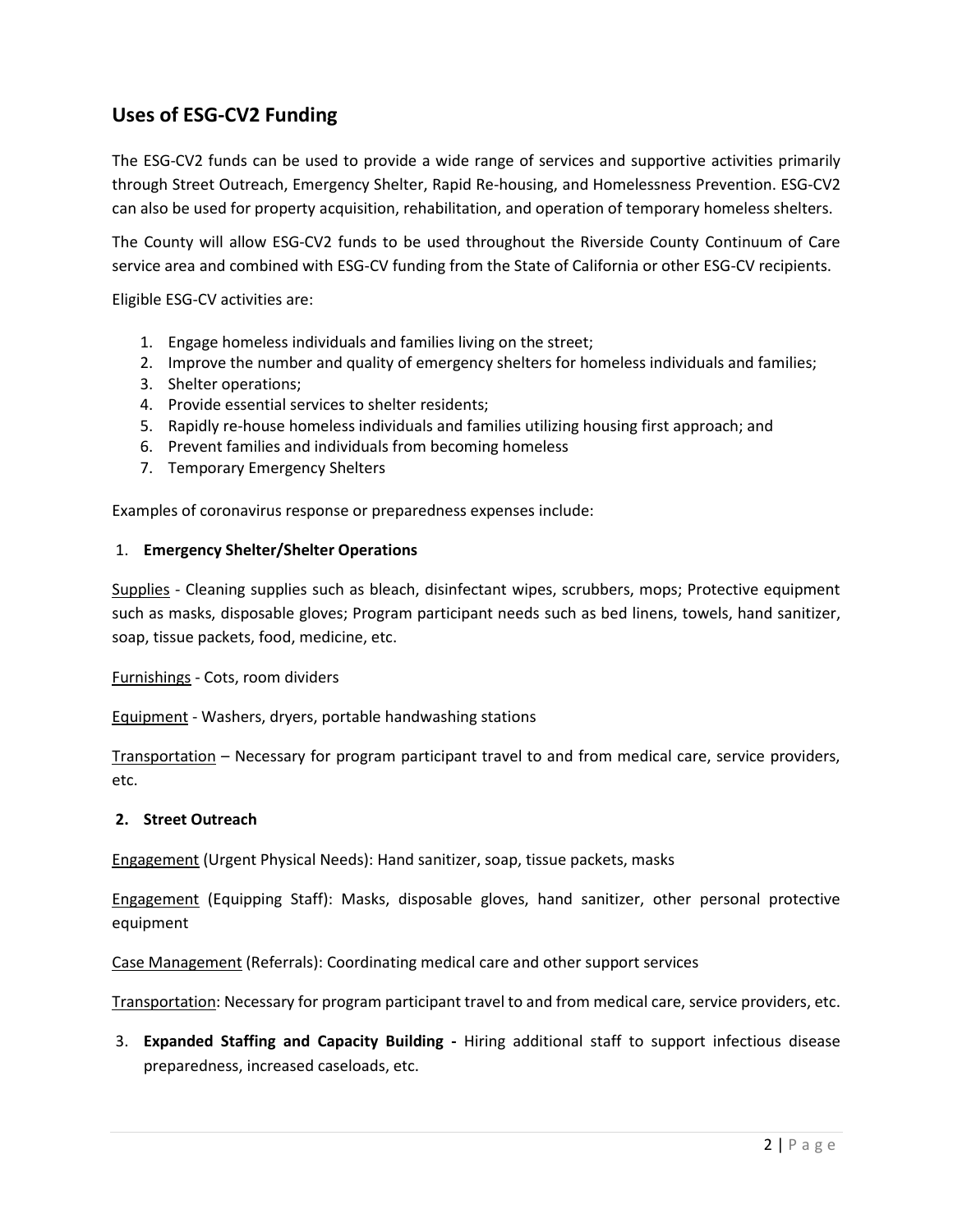### **Uses of ESG-CV2 Funding**

The ESG-CV2 funds can be used to provide a wide range of services and supportive activities primarily through Street Outreach, Emergency Shelter, Rapid Re-housing, and Homelessness Prevention. ESG-CV2 can also be used for property acquisition, rehabilitation, and operation of temporary homeless shelters.

The County will allow ESG-CV2 funds to be used throughout the Riverside County Continuum of Care service area and combined with ESG-CV funding from the State of California or other ESG-CV recipients.

Eligible ESG-CV activities are:

- 1. Engage homeless individuals and families living on the street;
- 2. Improve the number and quality of emergency shelters for homeless individuals and families;
- 3. Shelter operations;
- 4. Provide essential services to shelter residents;
- 5. Rapidly re-house homeless individuals and families utilizing housing first approach; and
- 6. Prevent families and individuals from becoming homeless
- 7. Temporary Emergency Shelters

Examples of coronavirus response or preparedness expenses include:

#### 1. **Emergency Shelter/Shelter Operations**

Supplies - Cleaning supplies such as bleach, disinfectant wipes, scrubbers, mops; Protective equipment such as masks, disposable gloves; Program participant needs such as bed linens, towels, hand sanitizer, soap, tissue packets, food, medicine, etc.

Furnishings - Cots, room dividers

Equipment - Washers, dryers, portable handwashing stations

Transportation – Necessary for program participant travel to and from medical care, service providers, etc.

#### **2. Street Outreach**

Engagement (Urgent Physical Needs): Hand sanitizer, soap, tissue packets, masks

Engagement (Equipping Staff): Masks, disposable gloves, hand sanitizer, other personal protective equipment

Case Management (Referrals): Coordinating medical care and other support services

Transportation: Necessary for program participant travel to and from medical care, service providers, etc.

3. **Expanded Staffing and Capacity Building -** Hiring additional staff to support infectious disease preparedness, increased caseloads, etc.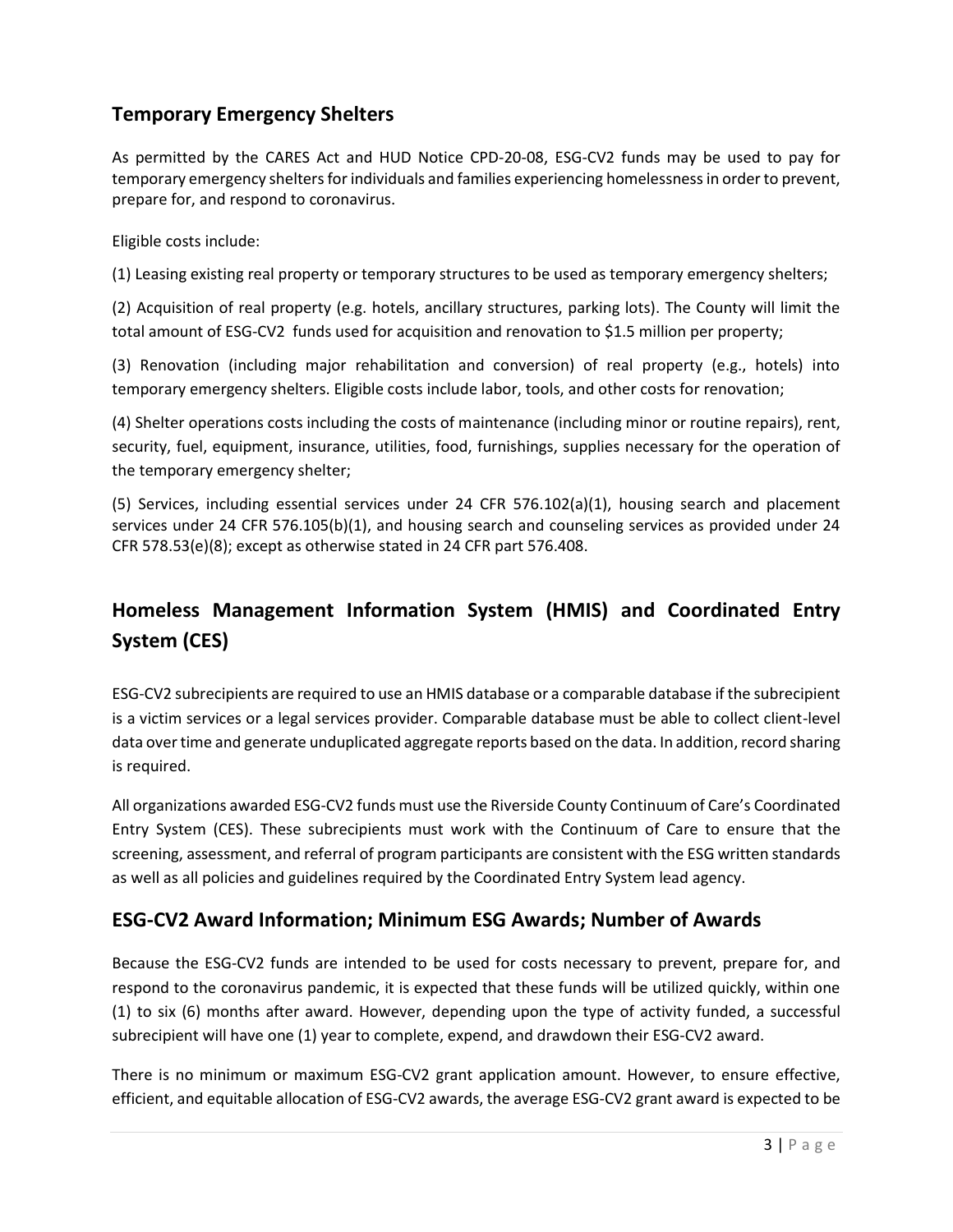### **Temporary Emergency Shelters**

As permitted by the CARES Act and HUD Notice CPD-20-08, ESG-CV2 funds may be used to pay for temporary emergency shelters for individuals and families experiencing homelessness in order to prevent, prepare for, and respond to coronavirus.

Eligible costs include:

(1) Leasing existing real property or temporary structures to be used as temporary emergency shelters;

(2) Acquisition of real property (e.g. hotels, ancillary structures, parking lots). The County will limit the total amount of ESG-CV2 funds used for acquisition and renovation to \$1.5 million per property;

(3) Renovation (including major rehabilitation and conversion) of real property (e.g., hotels) into temporary emergency shelters. Eligible costs include labor, tools, and other costs for renovation;

(4) Shelter operations costs including the costs of maintenance (including minor or routine repairs), rent, security, fuel, equipment, insurance, utilities, food, furnishings, supplies necessary for the operation of the temporary emergency shelter;

(5) Services, including essential services under 24 CFR 576.102(a)(1), housing search and placement services under 24 CFR 576.105(b)(1), and housing search and counseling services as provided under 24 CFR 578.53(e)(8); except as otherwise stated in 24 CFR part 576.408.

## **Homeless Management Information System (HMIS) and Coordinated Entry System (CES)**

ESG-CV2 subrecipients are required to use an HMIS database or a comparable database if the subrecipient is a victim services or a legal services provider. Comparable database must be able to collect client-level data over time and generate unduplicated aggregate reports based on the data. In addition, record sharing is required.

All organizations awarded ESG-CV2 funds must use the Riverside County Continuum of Care's Coordinated Entry System (CES). These subrecipients must work with the Continuum of Care to ensure that the screening, assessment, and referral of program participants are consistent with the ESG written standards as well as all policies and guidelines required by the Coordinated Entry System lead agency.

#### **ESG-CV2 Award Information; Minimum ESG Awards; Number of Awards**

Because the ESG-CV2 funds are intended to be used for costs necessary to prevent, prepare for, and respond to the coronavirus pandemic, it is expected that these funds will be utilized quickly, within one (1) to six (6) months after award. However, depending upon the type of activity funded, a successful subrecipient will have one (1) year to complete, expend, and drawdown their ESG-CV2 award.

There is no minimum or maximum ESG-CV2 grant application amount. However, to ensure effective, efficient, and equitable allocation of ESG-CV2 awards, the average ESG-CV2 grant award is expected to be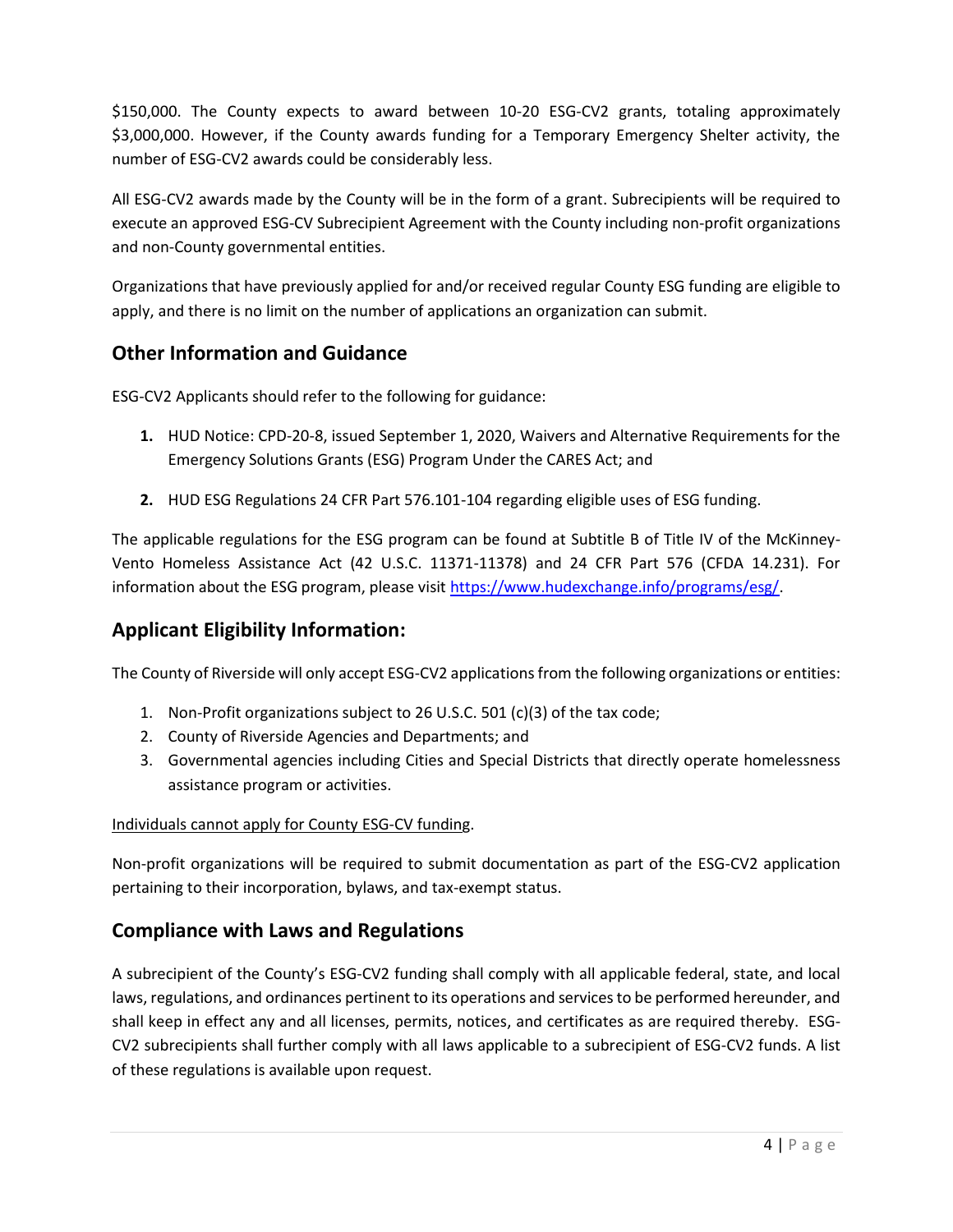\$150,000. The County expects to award between 10-20 ESG-CV2 grants, totaling approximately \$3,000,000. However, if the County awards funding for a Temporary Emergency Shelter activity, the number of ESG-CV2 awards could be considerably less.

All ESG-CV2 awards made by the County will be in the form of a grant. Subrecipients will be required to execute an approved ESG-CV Subrecipient Agreement with the County including non-profit organizations and non-County governmental entities.

Organizations that have previously applied for and/or received regular County ESG funding are eligible to apply, and there is no limit on the number of applications an organization can submit.

### **Other Information and Guidance**

ESG-CV2 Applicants should refer to the following for guidance:

- **1.** HUD Notice: CPD-20-8, issued September 1, 2020, Waivers and Alternative Requirements for the Emergency Solutions Grants (ESG) Program Under the CARES Act; and
- **2.** HUD ESG Regulations 24 CFR Part 576.101-104 regarding eligible uses of ESG funding.

The applicable regulations for the ESG program can be found at Subtitle B of Title IV of the McKinney-Vento Homeless Assistance Act (42 U.S.C. 11371-11378) and 24 CFR Part 576 (CFDA 14.231). For information about the ESG program, please visit [https://www.hudexchange.info/programs/esg/.](https://www.hudexchange.info/programs/esg/)

### **Applicant Eligibility Information:**

The County of Riverside will only accept ESG-CV2 applications from the following organizations or entities:

- 1. Non-Profit organizations subject to 26 U.S.C. 501 (c)(3) of the tax code;
- 2. County of Riverside Agencies and Departments; and
- 3. Governmental agencies including Cities and Special Districts that directly operate homelessness assistance program or activities.

#### Individuals cannot apply for County ESG-CV funding.

Non-profit organizations will be required to submit documentation as part of the ESG-CV2 application pertaining to their incorporation, bylaws, and tax-exempt status.

### **Compliance with Laws and Regulations**

A subrecipient of the County's ESG-CV2 funding shall comply with all applicable federal, state, and local laws, regulations, and ordinances pertinent to its operations and services to be performed hereunder, and shall keep in effect any and all licenses, permits, notices, and certificates as are required thereby. ESG-CV2 subrecipients shall further comply with all laws applicable to a subrecipient of ESG-CV2 funds. A list of these regulations is available upon request.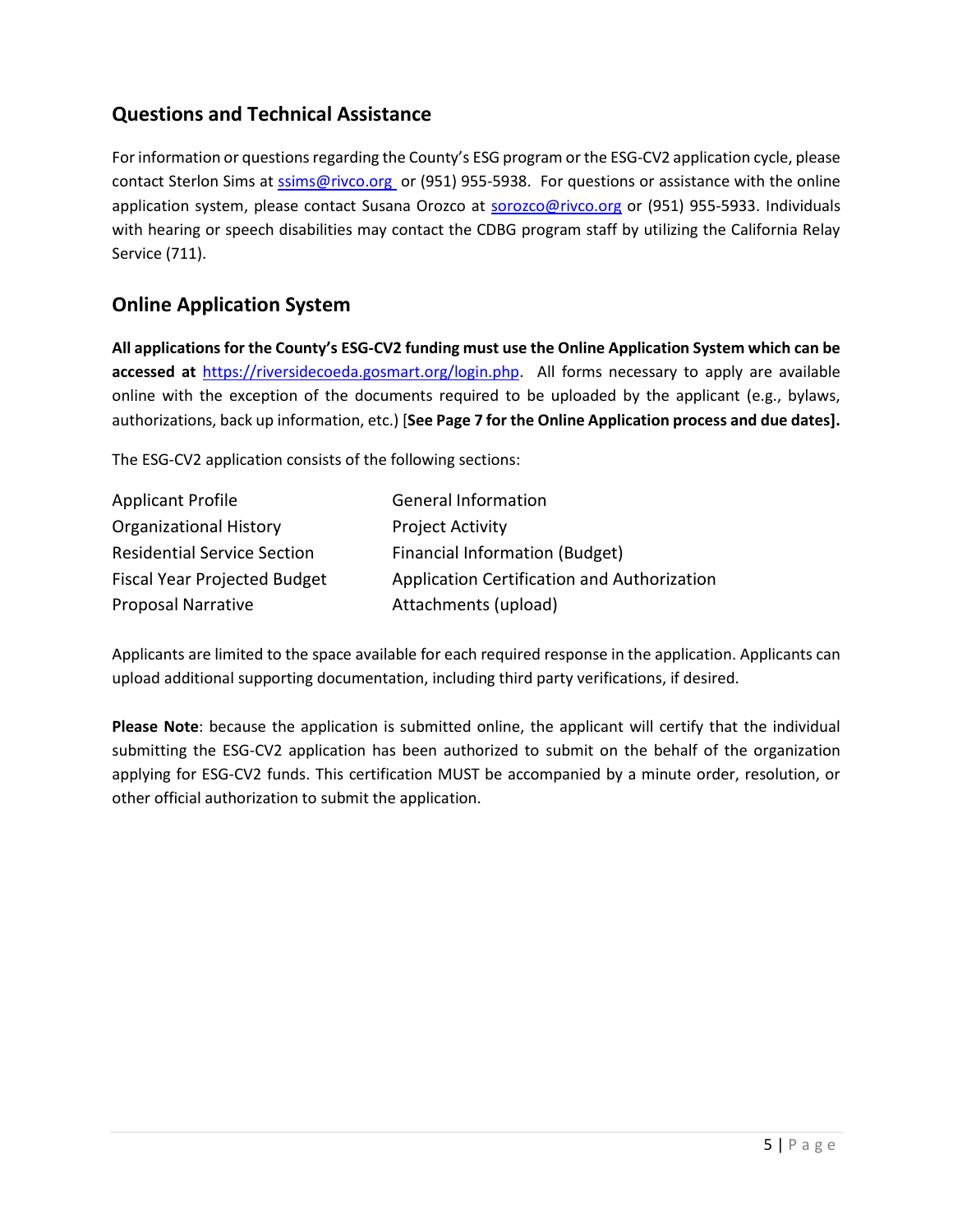### **Questions and Technical Assistance**

For information or questions regarding the County's ESG program or the ESG-CV2 application cycle, please contact Sterlon Sims at [ssims@rivco.org](mailto:ssims@rivco.org) or (951) 955-5938. For questions or assistance with the online application system, please contact Susana Orozco at [sorozco@rivco.org](mailto:sorozco@rivcoeda.org) or (951) 955-5933. Individuals with hearing or speech disabilities may contact the CDBG program staff by utilizing the California Relay Service (711).

### **Online Application System**

**All applications for the County's ESG-CV2 funding must use the Online Application System which can be accessed at** [https://riversidecoeda.gosmart.org/login.php.](https://riversidecoeda.gosmart.org/login.php) All forms necessary to apply are available online with the exception of the documents required to be uploaded by the applicant (e.g., bylaws, authorizations, back up information, etc.) [**See Page 7 for the Online Application process and due dates].**

The ESG-CV2 application consists of the following sections:

| <b>Applicant Profile</b>            | <b>General Information</b>                  |
|-------------------------------------|---------------------------------------------|
| <b>Organizational History</b>       | <b>Project Activity</b>                     |
| <b>Residential Service Section</b>  | Financial Information (Budget)              |
| <b>Fiscal Year Projected Budget</b> | Application Certification and Authorization |
| <b>Proposal Narrative</b>           | Attachments (upload)                        |

Applicants are limited to the space available for each required response in the application. Applicants can upload additional supporting documentation, including third party verifications, if desired.

**Please Note**: because the application is submitted online, the applicant will certify that the individual submitting the ESG-CV2 application has been authorized to submit on the behalf of the organization applying for ESG-CV2 funds. This certification MUST be accompanied by a minute order, resolution, or other official authorization to submit the application.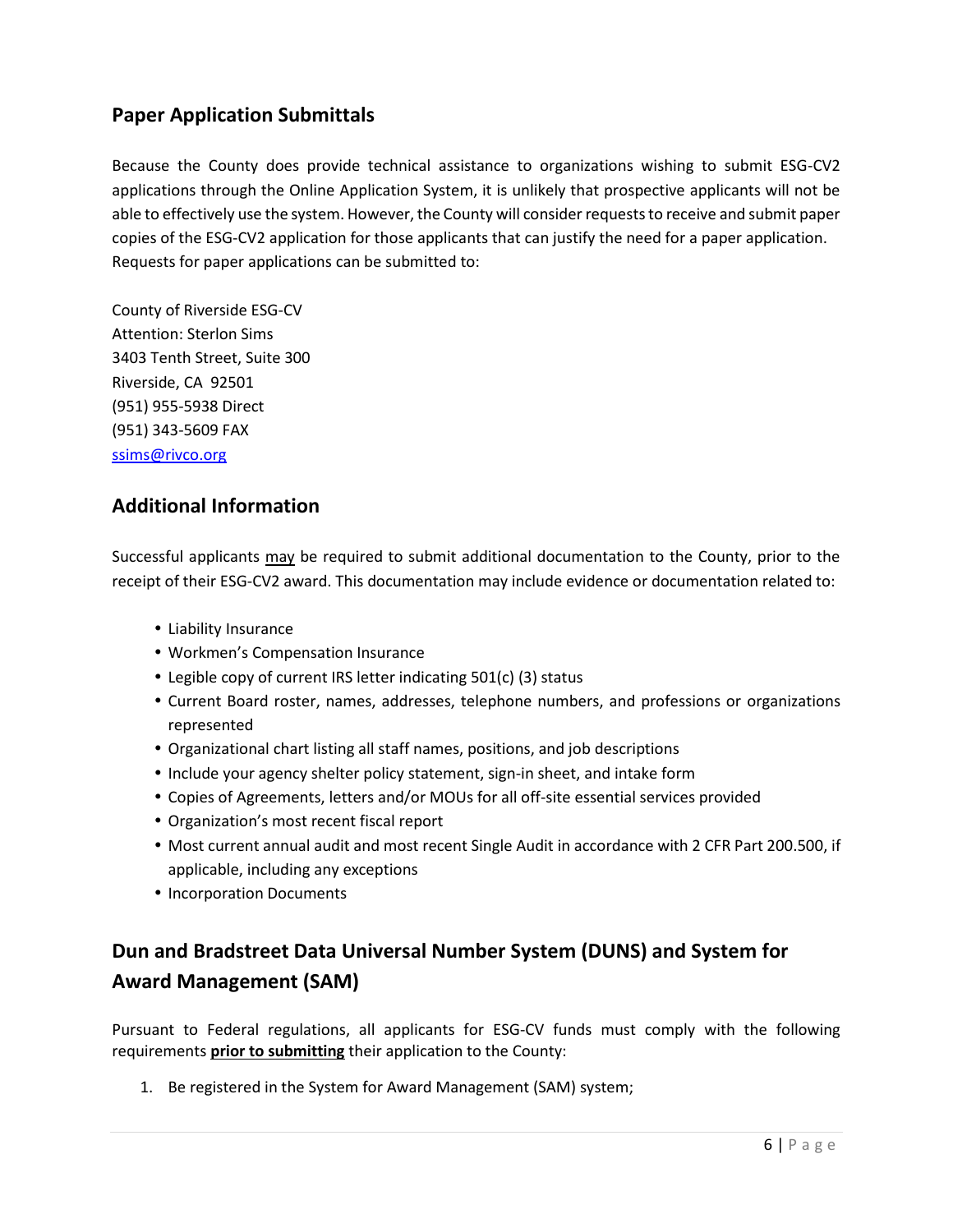### **Paper Application Submittals**

Because the County does provide technical assistance to organizations wishing to submit ESG-CV2 applications through the Online Application System, it is unlikely that prospective applicants will not be able to effectively use the system. However, the County will consider requests to receive and submit paper copies of the ESG-CV2 application for those applicants that can justify the need for a paper application. Requests for paper applications can be submitted to:

County of Riverside ESG-CV Attention: Sterlon Sims 3403 Tenth Street, Suite 300 Riverside, CA 92501 (951) 955-5938 Direct (951) 343-5609 FAX [ssims@rivco.org](mailto:ssims@rivco.org)

#### **Additional Information**

Successful applicants may be required to submit additional documentation to the County, prior to the receipt of their ESG-CV2 award. This documentation may include evidence or documentation related to:

- Liability Insurance
- Workmen's Compensation Insurance
- Legible copy of current IRS letter indicating 501(c) (3) status
- Current Board roster, names, addresses, telephone numbers, and professions or organizations represented
- Organizational chart listing all staff names, positions, and job descriptions
- Include your agency shelter policy statement, sign-in sheet, and intake form
- Copies of Agreements, letters and/or MOUs for all off-site essential services provided
- Organization's most recent fiscal report
- Most current annual audit and most recent Single Audit in accordance with 2 CFR Part 200.500, if applicable, including any exceptions
- Incorporation Documents

# **Dun and Bradstreet Data Universal Number System (DUNS) and System for Award Management (SAM)**

Pursuant to Federal regulations, all applicants for ESG-CV funds must comply with the following requirements **prior to submitting** their application to the County:

1. Be registered in the System for Award Management (SAM) system;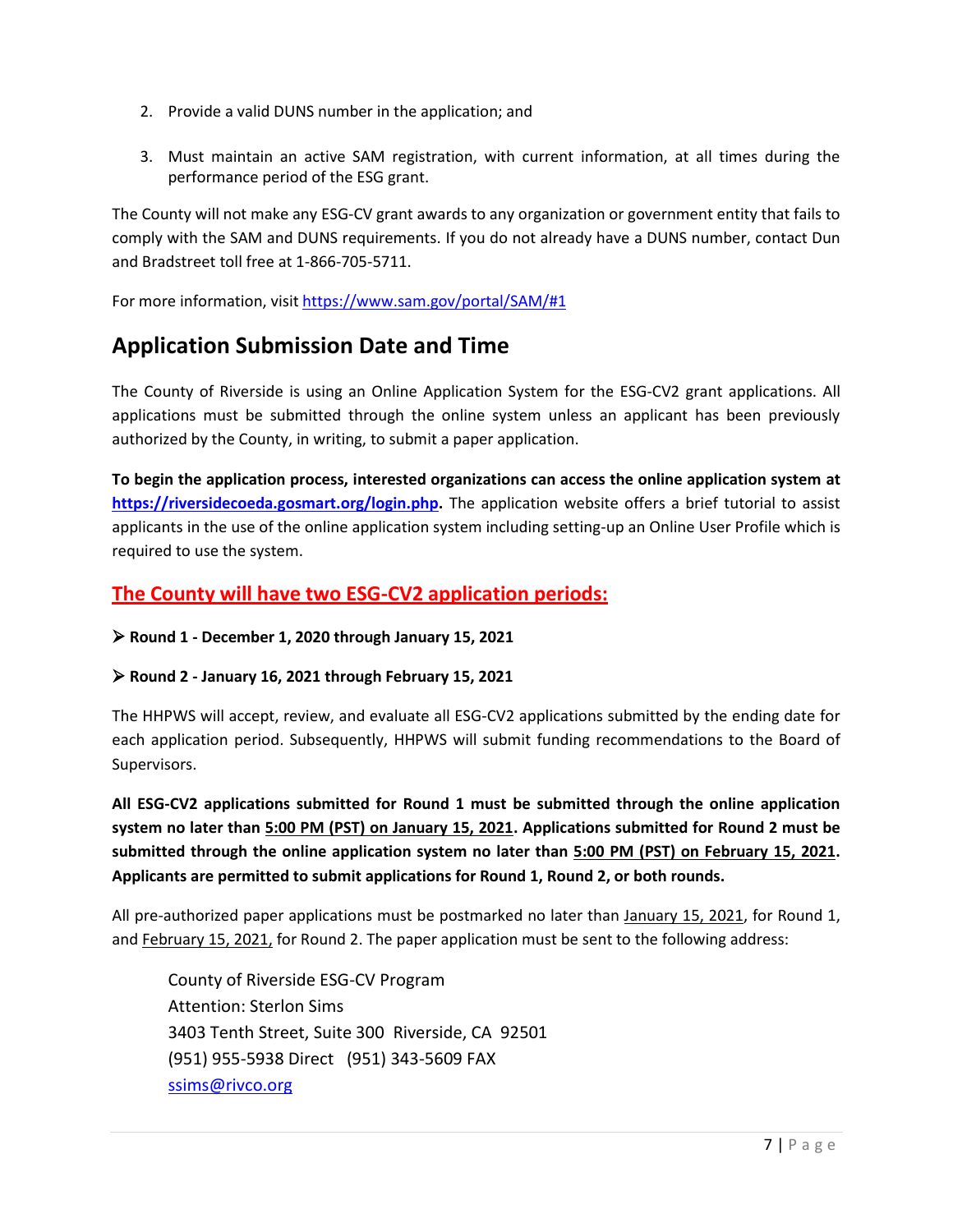- 2. Provide a valid DUNS number in the application; and
- 3. Must maintain an active SAM registration, with current information, at all times during the performance period of the ESG grant.

The County will not make any ESG-CV grant awards to any organization or government entity that fails to comply with the SAM and DUNS requirements. If you do not already have a DUNS number, contact Dun and Bradstreet toll free at 1-866-705-5711.

For more information, visi[t https://www.sam.gov/portal/SAM/#1](https://www.sam.gov/portal/SAM/#1)

# **Application Submission Date and Time**

The County of Riverside is using an Online Application System for the ESG-CV2 grant applications. All applications must be submitted through the online system unless an applicant has been previously authorized by the County, in writing, to submit a paper application.

**To begin the application process, interested organizations can access the online application system at [https://riversidecoeda.gosmart.org/login.php.](https://riversidecoeda.gosmart.org/login.php)** The application website offers a brief tutorial to assist applicants in the use of the online application system including setting-up an Online User Profile which is required to use the system.

#### **The County will have two ESG-CV2 application periods:**

➢ **Round 1 - December 1, 2020 through January 15, 2021**

#### ➢ **Round 2 - January 16, 2021 through February 15, 2021**

The HHPWS will accept, review, and evaluate all ESG-CV2 applications submitted by the ending date for each application period. Subsequently, HHPWS will submit funding recommendations to the Board of Supervisors.

**All ESG-CV2 applications submitted for Round 1 must be submitted through the online application system no later than 5:00 PM (PST) on January 15, 2021. Applications submitted for Round 2 must be submitted through the online application system no later than 5:00 PM (PST) on February 15, 2021. Applicants are permitted to submit applications for Round 1, Round 2, or both rounds.** 

All pre-authorized paper applications must be postmarked no later than January 15, 2021, for Round 1, and February 15, 2021, for Round 2. The paper application must be sent to the following address:

County of Riverside ESG-CV Program Attention: Sterlon Sims 3403 Tenth Street, Suite 300 Riverside, CA 92501 (951) 955-5938 Direct (951) 343-5609 FAX [ssims@rivco.org](mailto:ssims@rivco.org)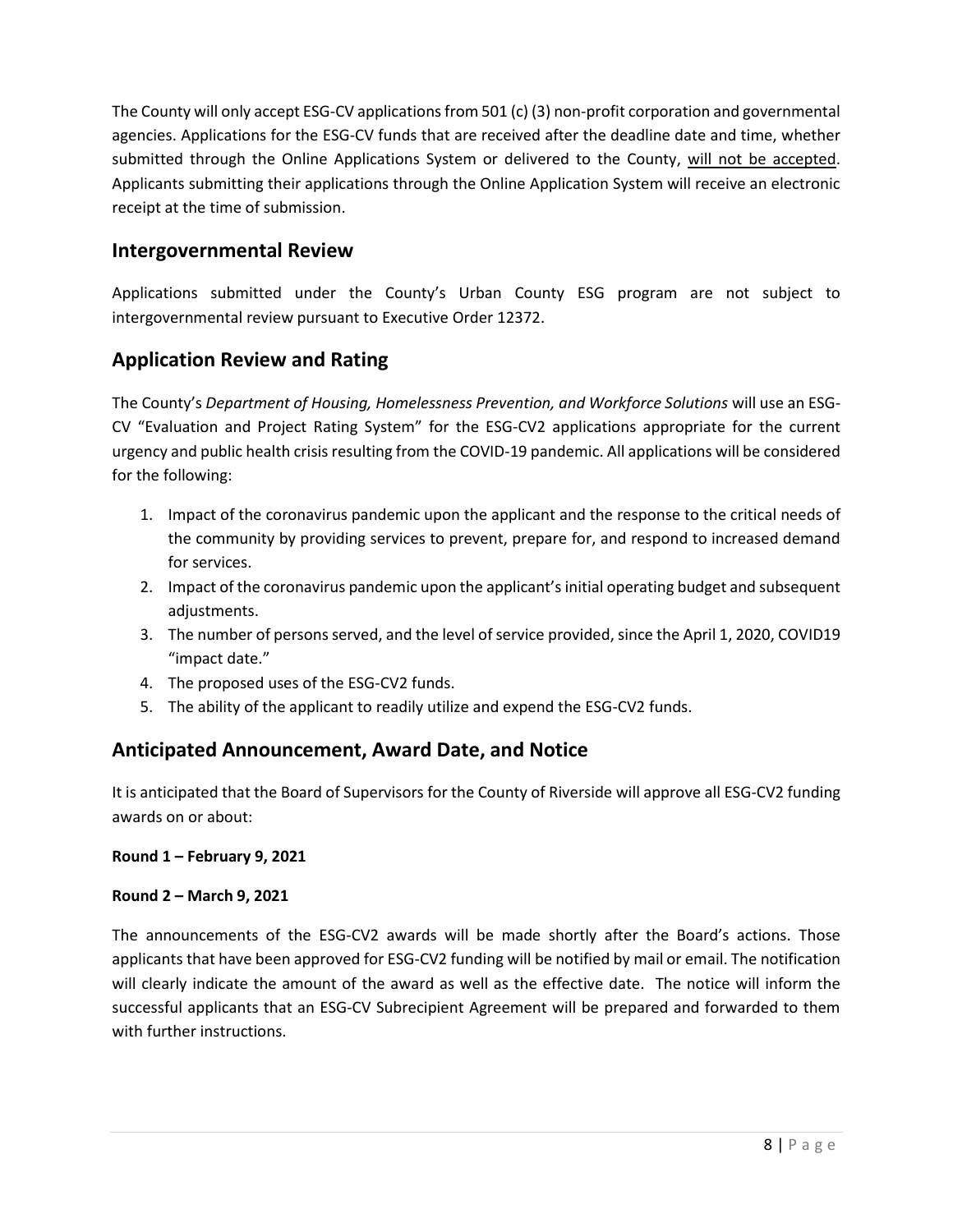The County will only accept ESG-CV applications from 501 (c) (3) non-profit corporation and governmental agencies. Applications for the ESG-CV funds that are received after the deadline date and time, whether submitted through the Online Applications System or delivered to the County, will not be accepted. Applicants submitting their applications through the Online Application System will receive an electronic receipt at the time of submission.

#### **Intergovernmental Review**

Applications submitted under the County's Urban County ESG program are not subject to intergovernmental review pursuant to Executive Order 12372.

#### **Application Review and Rating**

The County's *Department of Housing, Homelessness Prevention, and Workforce Solutions* will use an ESG-CV "Evaluation and Project Rating System" for the ESG-CV2 applications appropriate for the current urgency and public health crisis resulting from the COVID-19 pandemic. All applications will be considered for the following:

- 1. Impact of the coronavirus pandemic upon the applicant and the response to the critical needs of the community by providing services to prevent, prepare for, and respond to increased demand for services.
- 2. Impact of the coronavirus pandemic upon the applicant's initial operating budget and subsequent adjustments.
- 3. The number of persons served, and the level of service provided, since the April 1, 2020, COVID19 "impact date."
- 4. The proposed uses of the ESG-CV2 funds.
- 5. The ability of the applicant to readily utilize and expend the ESG-CV2 funds.

### **Anticipated Announcement, Award Date, and Notice**

It is anticipated that the Board of Supervisors for the County of Riverside will approve all ESG-CV2 funding awards on or about:

#### **Round 1 – February 9, 2021**

#### **Round 2 – March 9, 2021**

The announcements of the ESG-CV2 awards will be made shortly after the Board's actions. Those applicants that have been approved for ESG-CV2 funding will be notified by mail or email. The notification will clearly indicate the amount of the award as well as the effective date. The notice will inform the successful applicants that an ESG-CV Subrecipient Agreement will be prepared and forwarded to them with further instructions.